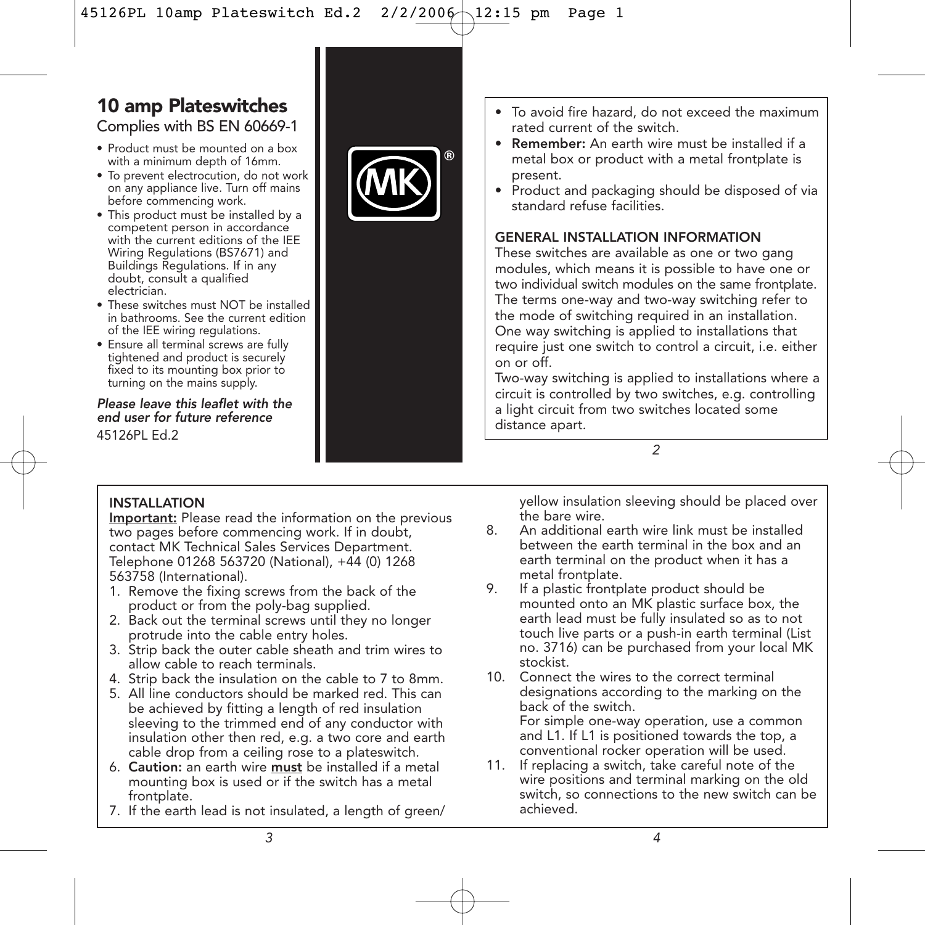# **10 amp Plateswitches**

Complies with BS EN 60669-1

- Product must be mounted on a box with a minimum depth of 16mm.
- To prevent electrocution, do not work on any appliance live. Turn off mains before commencing work.
- This product must be installed by a competent person in accordance with the current editions of the IEE Wiring Regulations (BS7671) and Buildings Regulations. If in any doubt, consult a qualified electrician.
- These switches must NOT be installed in bathrooms. See the current edition of the IEE wiring regulations.
- Ensure all terminal screws are fully tightened and product is securely fixed to its mounting box prior to turning on the mains supply.

*Please leave this leaflet with the end user for future reference* 45126PL Ed.2



- To avoid fire hazard, do not exceed the maximum rated current of the switch.
- Remember: An earth wire must be installed if a metal box or product with a metal frontplate is present.
- Product and packaging should be disposed of via standard refuse facilities.

### GENERAL INSTALLATION INFORMATION

These switches are available as one or two gang modules, which means it is possible to have one or two individual switch modules on the same frontplate. The terms one-way and two-way switching refer to the mode of switching required in an installation. One way switching is applied to installations that require just one switch to control a circuit, i.e. either on or off.

Two-way switching is applied to installations where a circuit is controlled by two switches, e.g. controlling a light circuit from two switches located some distance apart.

*2*

### INSTALLATION

Important: Please read the information on the previous two pages before commencing work. If in doubt, contact MK Technical Sales Services Department. Telephone 01268 563720 (National), +44 (0) 1268 563758 (International).

- 1. Remove the fixing screws from the back of the product or from the poly-bag supplied.
- 2. Back out the terminal screws until they no longer protrude into the cable entry holes.
- 3. Strip back the outer cable sheath and trim wires to allow cable to reach terminals.
- 4. Strip back the insulation on the cable to 7 to 8mm.
- 5. All line conductors should be marked red. This can be achieved by fitting a length of red insulation sleeving to the trimmed end of any conductor with insulation other then red, e.g. a two core and earth cable drop from a ceiling rose to a plateswitch.
- 6. Caution: an earth wire must be installed if a metal mounting box is used or if the switch has a metal frontplate.
- 7. If the earth lead is not insulated, a length of green/

yellow insulation sleeving should be placed over the bare wire.

- 8. An additional earth wire link must be installed between the earth terminal in the box and an earth terminal on the product when it has a metal frontplate.
- 9. If a plastic frontplate product should be mounted onto an MK plastic surface box, the earth lead must be fully insulated so as to not touch live parts or a push-in earth terminal (List no. 3716) can be purchased from your local MK stockist.
- 10. Connect the wires to the correct terminal designations according to the marking on the back of the switch. For simple one-way operation, use a common

and L1. If L1 is positioned towards the top, a conventional rocker operation will be used.

11. If replacing a switch, take careful note of the wire positions and terminal marking on the old switch, so connections to the new switch can be achieved.